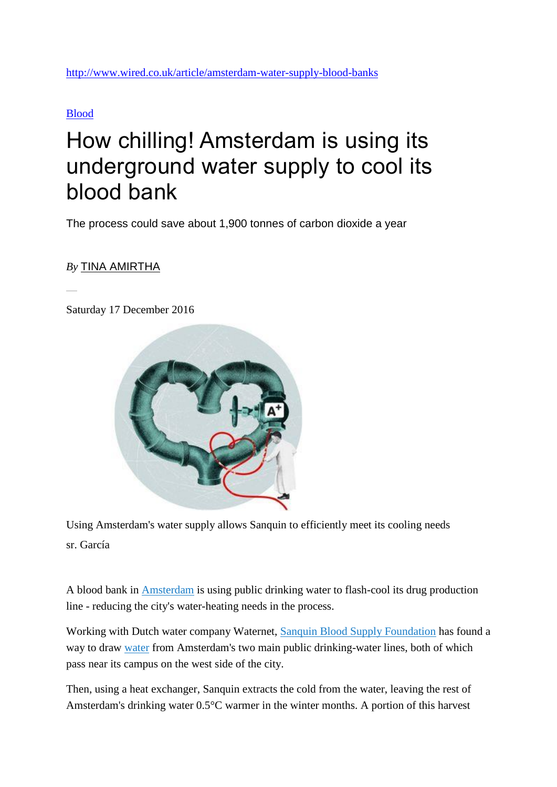<http://www.wired.co.uk/article/amsterdam-water-supply-blood-banks>

[Blood](http://www.wired.co.uk/topic/blood)

## How chilling! Amsterdam is using its underground water supply to cool its blood bank

The process could save about 1,900 tonnes of carbon dioxide a year

## *By* [TINA AMIRTHA](http://www.wired.co.uk/profile/tina-amirtha)

Saturday 17 December 2016



Using Amsterdam's water supply allows Sanquin to efficiently meet its cooling needs sr. García

A blood bank in [Amsterdam](http://www.wired.co.uk/topic/amsterdam) is using public drinking water to flash-cool its drug production line - reducing the city's water-heating needs in the process.

Working with Dutch water company Waternet, [Sanquin Blood Supply Foundation](http://www.wired.co.uk/article/n.nl) has found a way to draw [water](http://www.wired.co.uk/topic/water) from Amsterdam's two main public drinking-water lines, both of which pass near its campus on the west side of the city.

Then, using a heat exchanger, Sanquin extracts the cold from the water, leaving the rest of Amsterdam's drinking water 0.5°C warmer in the winter months. A portion of this harvest